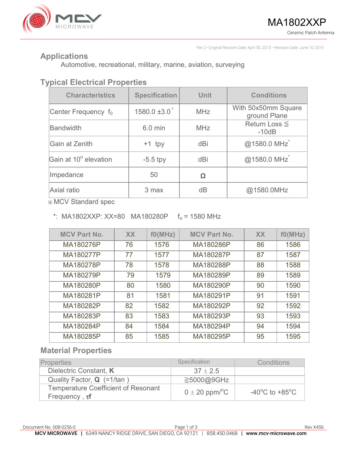

Rev 2–Original Revision Date: April 30, 2013 –Revision Date: June 10, 2015

### **Applications**

Automotive, recreational, military, marine, aviation, surveying

# **Typical Electrical Properties**

| <b>Characteristics</b>          | <b>Specification</b>          | <b>Unit</b> | <b>Conditions</b>                   |  |
|---------------------------------|-------------------------------|-------------|-------------------------------------|--|
| Center Frequency f <sub>0</sub> | $1580.0 \pm 3.0$ <sup>*</sup> | <b>MHz</b>  | With 50x50mm Square<br>ground Plane |  |
| <b>Bandwidth</b>                | 6.0 min                       | <b>MHz</b>  | Return Loss $\leq$<br>$-10dB$       |  |
| Gain at Zenith                  | $+1$ tpy                      | dBi         | @1580.0 MHz                         |  |
| Gain at 10° elevation           | $-5.5$ tpy                    | dBi         | @1580.0 MHz                         |  |
| Impedance                       | 50                            | Ω           |                                     |  |
| Axial ratio                     | 3 max                         | dB          | @1580.0MHz                          |  |

※ MCV Standard spec

#### \*: MA1802XXP: XX=80 MA180280P  $f_0 = 1580$  MHz

| <b>MCV Part No.</b> | <b>XX</b> | f0(MHz) | <b>MCV Part No.</b> | <b>XX</b> | f0(MHz) |
|---------------------|-----------|---------|---------------------|-----------|---------|
| MA180276P           | 76        | 1576    | MA180286P           | 86        | 1586    |
| MA180277P           | 77        | 1577    | MA180287P           | 87        | 1587    |
| MA180278P           | 78        | 1578    | MA180288P           | 88        | 1588    |
| MA180279P           | 79        | 1579    | MA180289P           | 89        | 1589    |
| MA180280P           | 80        | 1580    | MA180290P           | 90        | 1590    |
| MA180281P           | 81        | 1581    | MA180291P           | 91        | 1591    |
| MA180282P           | 82        | 1582    | MA180292P           | 92        | 1592    |
| MA180283P           | 83        | 1583    | MA180293P           | 93        | 1593    |
| MA180284P           | 84        | 1584    | MA180294P           | 94        | 1594    |
| MA180285P           | 85        | 1585    | MA180295P           | 95        | 1595    |

### **Material Properties**

| <b>Properties</b>                                                 | Specification                  | Conditions                                           |
|-------------------------------------------------------------------|--------------------------------|------------------------------------------------------|
| Dielectric Constant, K                                            | $37 \pm 2.5$                   |                                                      |
| Quality Factor, <b>Q</b> (=1/tan)                                 | ≧5000@9GHz                     |                                                      |
| <b>Temperature Coefficient of Resonant</b><br>Frequency, $\tau f$ | $0 \pm 20$ ppm/ <sup>o</sup> C | -40 $\mathrm{^{\circ}C}$ to +85 $\mathrm{^{\circ}C}$ |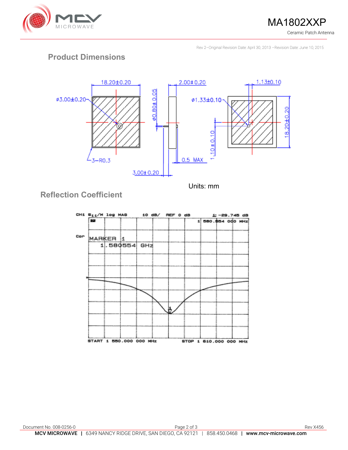

**MA1802XXP** Ceramic Patch Antenna

Rev 2–Original Revision Date: April 30, 2013 –Revision Date: June 10, 2015

## **Product Dimensions**



**Reflection Coefficient**